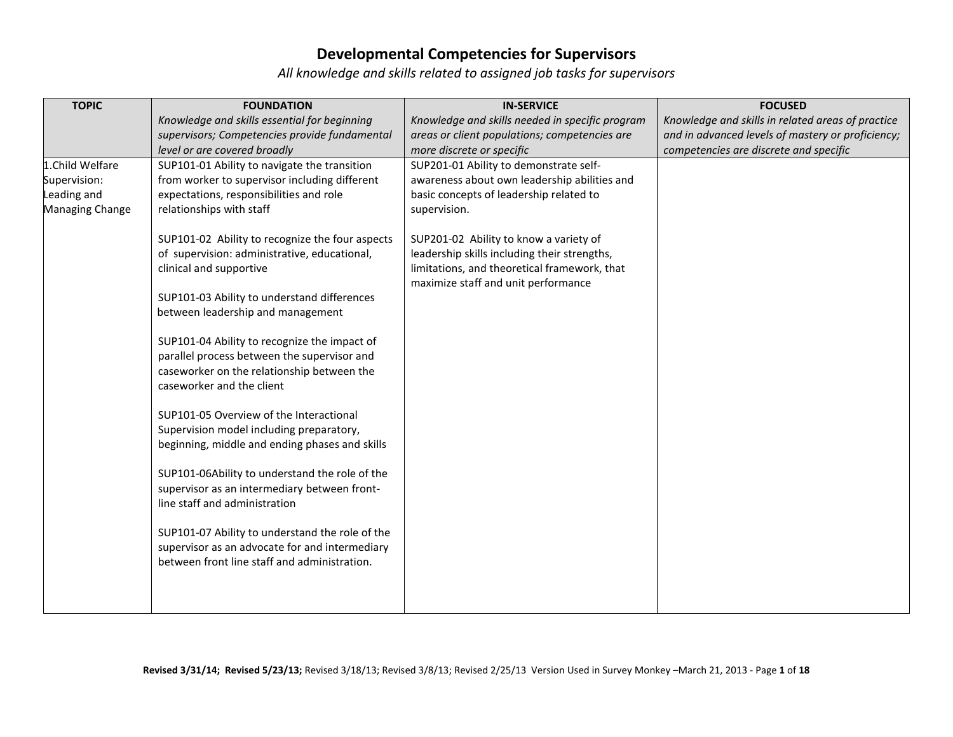| <b>TOPIC</b>    | <b>FOUNDATION</b>                               | <b>IN-SERVICE</b>                                                                   | <b>FOCUSED</b>                                    |
|-----------------|-------------------------------------------------|-------------------------------------------------------------------------------------|---------------------------------------------------|
|                 | Knowledge and skills essential for beginning    | Knowledge and skills needed in specific program                                     | Knowledge and skills in related areas of practice |
|                 | supervisors; Competencies provide fundamental   | areas or client populations; competencies are                                       | and in advanced levels of mastery or proficiency; |
|                 | level or are covered broadly                    | more discrete or specific                                                           | competencies are discrete and specific            |
| 1.Child Welfare | SUP101-01 Ability to navigate the transition    | SUP201-01 Ability to demonstrate self-                                              |                                                   |
| Supervision:    | from worker to supervisor including different   | awareness about own leadership abilities and                                        |                                                   |
| eading and      | expectations, responsibilities and role         | basic concepts of leadership related to                                             |                                                   |
| Managing Change | relationships with staff                        | supervision.                                                                        |                                                   |
|                 | SUP101-02 Ability to recognize the four aspects | SUP201-02 Ability to know a variety of                                              |                                                   |
|                 | of supervision: administrative, educational,    | leadership skills including their strengths,                                        |                                                   |
|                 | clinical and supportive                         | limitations, and theoretical framework, that<br>maximize staff and unit performance |                                                   |
|                 | SUP101-03 Ability to understand differences     |                                                                                     |                                                   |
|                 | between leadership and management               |                                                                                     |                                                   |
|                 | SUP101-04 Ability to recognize the impact of    |                                                                                     |                                                   |
|                 | parallel process between the supervisor and     |                                                                                     |                                                   |
|                 | caseworker on the relationship between the      |                                                                                     |                                                   |
|                 | caseworker and the client                       |                                                                                     |                                                   |
|                 | SUP101-05 Overview of the Interactional         |                                                                                     |                                                   |
|                 | Supervision model including preparatory,        |                                                                                     |                                                   |
|                 | beginning, middle and ending phases and skills  |                                                                                     |                                                   |
|                 | SUP101-06Ability to understand the role of the  |                                                                                     |                                                   |
|                 | supervisor as an intermediary between front-    |                                                                                     |                                                   |
|                 | line staff and administration                   |                                                                                     |                                                   |
|                 | SUP101-07 Ability to understand the role of the |                                                                                     |                                                   |
|                 | supervisor as an advocate for and intermediary  |                                                                                     |                                                   |
|                 | between front line staff and administration.    |                                                                                     |                                                   |
|                 |                                                 |                                                                                     |                                                   |
|                 |                                                 |                                                                                     |                                                   |
|                 |                                                 |                                                                                     |                                                   |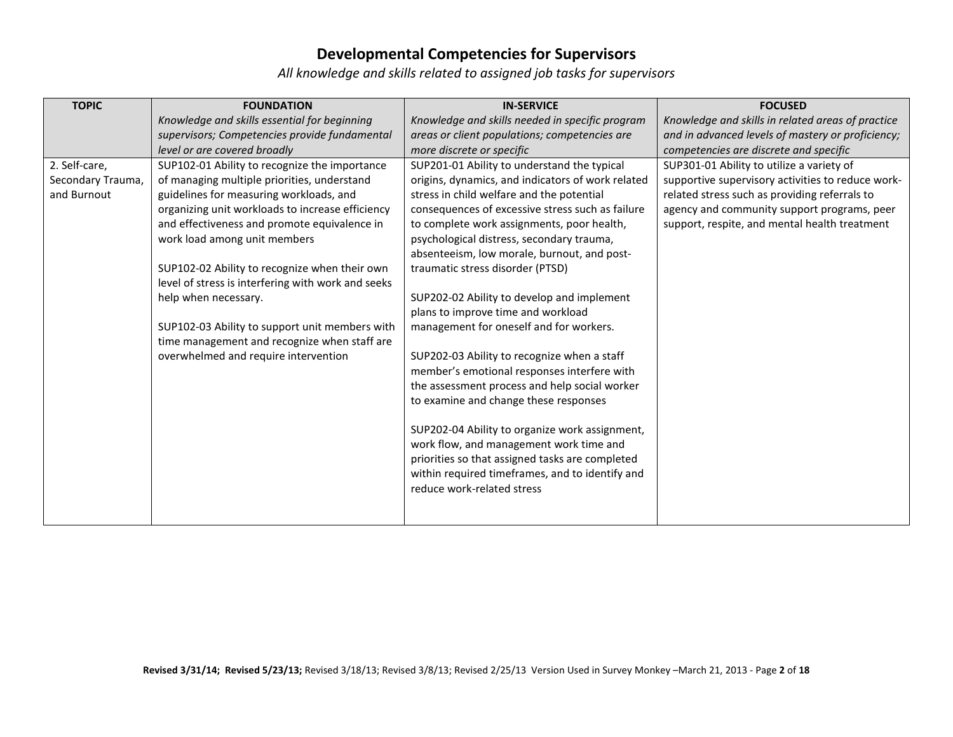| <b>TOPIC</b>      | <b>FOUNDATION</b>                                  | <b>IN-SERVICE</b>                                 | <b>FOCUSED</b>                                    |
|-------------------|----------------------------------------------------|---------------------------------------------------|---------------------------------------------------|
|                   | Knowledge and skills essential for beginning       | Knowledge and skills needed in specific program   | Knowledge and skills in related areas of practice |
|                   | supervisors; Competencies provide fundamental      | areas or client populations; competencies are     | and in advanced levels of mastery or proficiency; |
|                   | level or are covered broadly                       | more discrete or specific                         | competencies are discrete and specific            |
| 2. Self-care,     | SUP102-01 Ability to recognize the importance      | SUP201-01 Ability to understand the typical       | SUP301-01 Ability to utilize a variety of         |
| Secondary Trauma, | of managing multiple priorities, understand        | origins, dynamics, and indicators of work related | supportive supervisory activities to reduce work- |
| and Burnout       | guidelines for measuring workloads, and            | stress in child welfare and the potential         | related stress such as providing referrals to     |
|                   | organizing unit workloads to increase efficiency   | consequences of excessive stress such as failure  | agency and community support programs, peer       |
|                   | and effectiveness and promote equivalence in       | to complete work assignments, poor health,        | support, respite, and mental health treatment     |
|                   | work load among unit members                       | psychological distress, secondary trauma,         |                                                   |
|                   |                                                    | absenteeism, low morale, burnout, and post-       |                                                   |
|                   | SUP102-02 Ability to recognize when their own      | traumatic stress disorder (PTSD)                  |                                                   |
|                   | level of stress is interfering with work and seeks |                                                   |                                                   |
|                   | help when necessary.                               | SUP202-02 Ability to develop and implement        |                                                   |
|                   |                                                    | plans to improve time and workload                |                                                   |
|                   | SUP102-03 Ability to support unit members with     | management for oneself and for workers.           |                                                   |
|                   | time management and recognize when staff are       |                                                   |                                                   |
|                   | overwhelmed and require intervention               | SUP202-03 Ability to recognize when a staff       |                                                   |
|                   |                                                    | member's emotional responses interfere with       |                                                   |
|                   |                                                    | the assessment process and help social worker     |                                                   |
|                   |                                                    | to examine and change these responses             |                                                   |
|                   |                                                    |                                                   |                                                   |
|                   |                                                    | SUP202-04 Ability to organize work assignment,    |                                                   |
|                   |                                                    | work flow, and management work time and           |                                                   |
|                   |                                                    | priorities so that assigned tasks are completed   |                                                   |
|                   |                                                    | within required timeframes, and to identify and   |                                                   |
|                   |                                                    | reduce work-related stress                        |                                                   |
|                   |                                                    |                                                   |                                                   |
|                   |                                                    |                                                   |                                                   |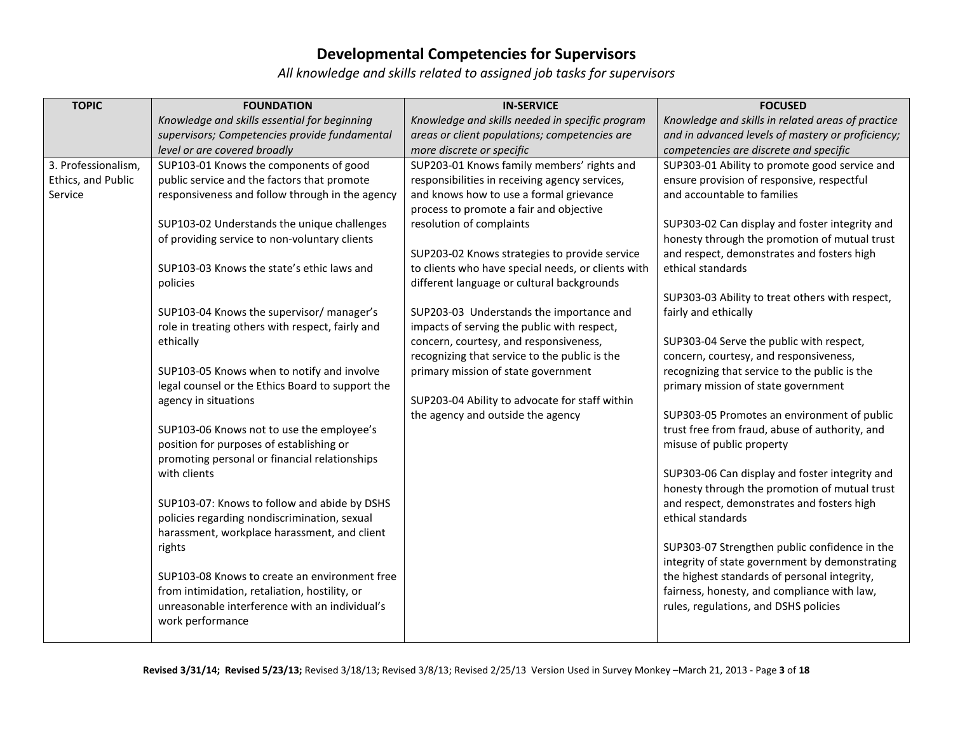| <b>TOPIC</b>        | <b>FOUNDATION</b>                                             | <b>IN-SERVICE</b>                                  | <b>FOCUSED</b>                                                                                  |
|---------------------|---------------------------------------------------------------|----------------------------------------------------|-------------------------------------------------------------------------------------------------|
|                     | Knowledge and skills essential for beginning                  | Knowledge and skills needed in specific program    | Knowledge and skills in related areas of practice                                               |
|                     | supervisors; Competencies provide fundamental                 | areas or client populations; competencies are      | and in advanced levels of mastery or proficiency;                                               |
|                     | level or are covered broadly                                  | more discrete or specific                          | competencies are discrete and specific                                                          |
| 3. Professionalism, | SUP103-01 Knows the components of good                        | SUP203-01 Knows family members' rights and         | SUP303-01 Ability to promote good service and                                                   |
| Ethics, and Public  | public service and the factors that promote                   | responsibilities in receiving agency services,     | ensure provision of responsive, respectful                                                      |
| Service             | responsiveness and follow through in the agency               | and knows how to use a formal grievance            | and accountable to families                                                                     |
|                     |                                                               | process to promote a fair and objective            |                                                                                                 |
|                     | SUP103-02 Understands the unique challenges                   | resolution of complaints                           | SUP303-02 Can display and foster integrity and<br>honesty through the promotion of mutual trust |
|                     | of providing service to non-voluntary clients                 | SUP203-02 Knows strategies to provide service      | and respect, demonstrates and fosters high                                                      |
|                     | SUP103-03 Knows the state's ethic laws and                    | to clients who have special needs, or clients with | ethical standards                                                                               |
|                     | policies                                                      | different language or cultural backgrounds         |                                                                                                 |
|                     |                                                               |                                                    | SUP303-03 Ability to treat others with respect,                                                 |
|                     | SUP103-04 Knows the supervisor/manager's                      | SUP203-03 Understands the importance and           | fairly and ethically                                                                            |
|                     | role in treating others with respect, fairly and              | impacts of serving the public with respect,        |                                                                                                 |
|                     | ethically                                                     | concern, courtesy, and responsiveness,             | SUP303-04 Serve the public with respect,                                                        |
|                     |                                                               | recognizing that service to the public is the      | concern, courtesy, and responsiveness,                                                          |
|                     | SUP103-05 Knows when to notify and involve                    | primary mission of state government                | recognizing that service to the public is the                                                   |
|                     | legal counsel or the Ethics Board to support the              |                                                    | primary mission of state government                                                             |
|                     | agency in situations                                          | SUP203-04 Ability to advocate for staff within     |                                                                                                 |
|                     |                                                               | the agency and outside the agency                  | SUP303-05 Promotes an environment of public                                                     |
|                     | SUP103-06 Knows not to use the employee's                     |                                                    | trust free from fraud, abuse of authority, and                                                  |
|                     | position for purposes of establishing or                      |                                                    | misuse of public property                                                                       |
|                     | promoting personal or financial relationships<br>with clients |                                                    | SUP303-06 Can display and foster integrity and                                                  |
|                     |                                                               |                                                    | honesty through the promotion of mutual trust                                                   |
|                     | SUP103-07: Knows to follow and abide by DSHS                  |                                                    | and respect, demonstrates and fosters high                                                      |
|                     | policies regarding nondiscrimination, sexual                  |                                                    | ethical standards                                                                               |
|                     | harassment, workplace harassment, and client                  |                                                    |                                                                                                 |
|                     | rights                                                        |                                                    | SUP303-07 Strengthen public confidence in the                                                   |
|                     |                                                               |                                                    | integrity of state government by demonstrating                                                  |
|                     | SUP103-08 Knows to create an environment free                 |                                                    | the highest standards of personal integrity,                                                    |
|                     | from intimidation, retaliation, hostility, or                 |                                                    | fairness, honesty, and compliance with law,                                                     |
|                     | unreasonable interference with an individual's                |                                                    | rules, regulations, and DSHS policies                                                           |
|                     | work performance                                              |                                                    |                                                                                                 |
|                     |                                                               |                                                    |                                                                                                 |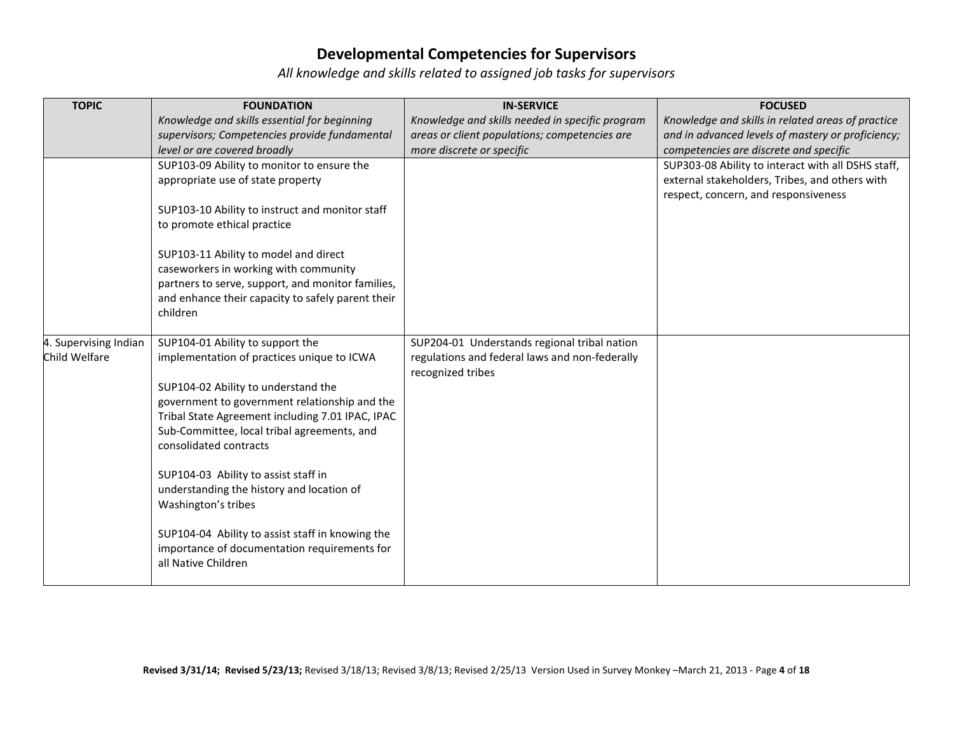| <b>TOPIC</b>          | <b>FOUNDATION</b>                                                     | <b>IN-SERVICE</b>                               | <b>FOCUSED</b>                                     |
|-----------------------|-----------------------------------------------------------------------|-------------------------------------------------|----------------------------------------------------|
|                       | Knowledge and skills essential for beginning                          | Knowledge and skills needed in specific program | Knowledge and skills in related areas of practice  |
|                       | supervisors; Competencies provide fundamental                         | areas or client populations; competencies are   | and in advanced levels of mastery or proficiency;  |
|                       | level or are covered broadly                                          | more discrete or specific                       | competencies are discrete and specific             |
|                       | SUP103-09 Ability to monitor to ensure the                            |                                                 | SUP303-08 Ability to interact with all DSHS staff, |
|                       | appropriate use of state property                                     |                                                 | external stakeholders, Tribes, and others with     |
|                       |                                                                       |                                                 | respect, concern, and responsiveness               |
|                       | SUP103-10 Ability to instruct and monitor staff                       |                                                 |                                                    |
|                       | to promote ethical practice                                           |                                                 |                                                    |
|                       | SUP103-11 Ability to model and direct                                 |                                                 |                                                    |
|                       | caseworkers in working with community                                 |                                                 |                                                    |
|                       | partners to serve, support, and monitor families,                     |                                                 |                                                    |
|                       | and enhance their capacity to safely parent their                     |                                                 |                                                    |
|                       | children                                                              |                                                 |                                                    |
|                       |                                                                       |                                                 |                                                    |
| 4. Supervising Indian | SUP104-01 Ability to support the                                      | SUP204-01 Understands regional tribal nation    |                                                    |
| Child Welfare         | implementation of practices unique to ICWA                            | regulations and federal laws and non-federally  |                                                    |
|                       |                                                                       | recognized tribes                               |                                                    |
|                       | SUP104-02 Ability to understand the                                   |                                                 |                                                    |
|                       | government to government relationship and the                         |                                                 |                                                    |
|                       | Tribal State Agreement including 7.01 IPAC, IPAC                      |                                                 |                                                    |
|                       | Sub-Committee, local tribal agreements, and<br>consolidated contracts |                                                 |                                                    |
|                       |                                                                       |                                                 |                                                    |
|                       | SUP104-03 Ability to assist staff in                                  |                                                 |                                                    |
|                       | understanding the history and location of                             |                                                 |                                                    |
|                       | Washington's tribes                                                   |                                                 |                                                    |
|                       |                                                                       |                                                 |                                                    |
|                       | SUP104-04 Ability to assist staff in knowing the                      |                                                 |                                                    |
|                       | importance of documentation requirements for                          |                                                 |                                                    |
|                       | all Native Children                                                   |                                                 |                                                    |
|                       |                                                                       |                                                 |                                                    |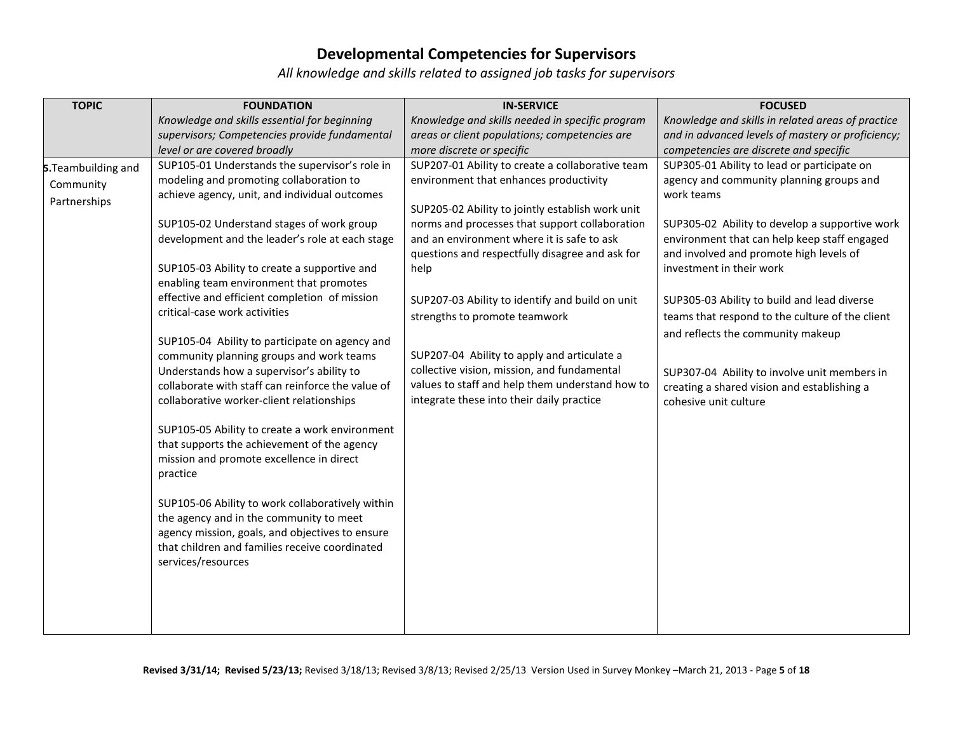| <b>TOPIC</b>        | <b>FOUNDATION</b>                                                                          | <b>IN-SERVICE</b>                                | <b>FOCUSED</b>                                                       |
|---------------------|--------------------------------------------------------------------------------------------|--------------------------------------------------|----------------------------------------------------------------------|
|                     | Knowledge and skills essential for beginning                                               | Knowledge and skills needed in specific program  | Knowledge and skills in related areas of practice                    |
|                     | supervisors; Competencies provide fundamental                                              | areas or client populations; competencies are    | and in advanced levels of mastery or proficiency;                    |
|                     | level or are covered broadly                                                               | more discrete or specific                        | competencies are discrete and specific                               |
| 5. Teambuilding and | SUP105-01 Understands the supervisor's role in                                             | SUP207-01 Ability to create a collaborative team | SUP305-01 Ability to lead or participate on                          |
| Community           | modeling and promoting collaboration to                                                    | environment that enhances productivity           | agency and community planning groups and                             |
| Partnerships        | achieve agency, unit, and individual outcomes                                              |                                                  | work teams                                                           |
|                     |                                                                                            | SUP205-02 Ability to jointly establish work unit |                                                                      |
|                     | SUP105-02 Understand stages of work group                                                  | norms and processes that support collaboration   | SUP305-02 Ability to develop a supportive work                       |
|                     | development and the leader's role at each stage                                            | and an environment where it is safe to ask       | environment that can help keep staff engaged                         |
|                     |                                                                                            | questions and respectfully disagree and ask for  | and involved and promote high levels of                              |
|                     | SUP105-03 Ability to create a supportive and                                               | help                                             | investment in their work                                             |
|                     | enabling team environment that promotes                                                    |                                                  |                                                                      |
|                     | effective and efficient completion of mission                                              | SUP207-03 Ability to identify and build on unit  | SUP305-03 Ability to build and lead diverse                          |
|                     | critical-case work activities                                                              | strengths to promote teamwork                    | teams that respond to the culture of the client                      |
|                     |                                                                                            |                                                  | and reflects the community makeup                                    |
|                     | SUP105-04 Ability to participate on agency and<br>community planning groups and work teams | SUP207-04 Ability to apply and articulate a      |                                                                      |
|                     | Understands how a supervisor's ability to                                                  | collective vision, mission, and fundamental      |                                                                      |
|                     | collaborate with staff can reinforce the value of                                          | values to staff and help them understand how to  | SUP307-04 Ability to involve unit members in                         |
|                     | collaborative worker-client relationships                                                  | integrate these into their daily practice        | creating a shared vision and establishing a<br>cohesive unit culture |
|                     |                                                                                            |                                                  |                                                                      |
|                     | SUP105-05 Ability to create a work environment                                             |                                                  |                                                                      |
|                     | that supports the achievement of the agency                                                |                                                  |                                                                      |
|                     | mission and promote excellence in direct                                                   |                                                  |                                                                      |
|                     | practice                                                                                   |                                                  |                                                                      |
|                     |                                                                                            |                                                  |                                                                      |
|                     | SUP105-06 Ability to work collaboratively within                                           |                                                  |                                                                      |
|                     | the agency and in the community to meet                                                    |                                                  |                                                                      |
|                     | agency mission, goals, and objectives to ensure                                            |                                                  |                                                                      |
|                     | that children and families receive coordinated                                             |                                                  |                                                                      |
|                     | services/resources                                                                         |                                                  |                                                                      |
|                     |                                                                                            |                                                  |                                                                      |
|                     |                                                                                            |                                                  |                                                                      |
|                     |                                                                                            |                                                  |                                                                      |
|                     |                                                                                            |                                                  |                                                                      |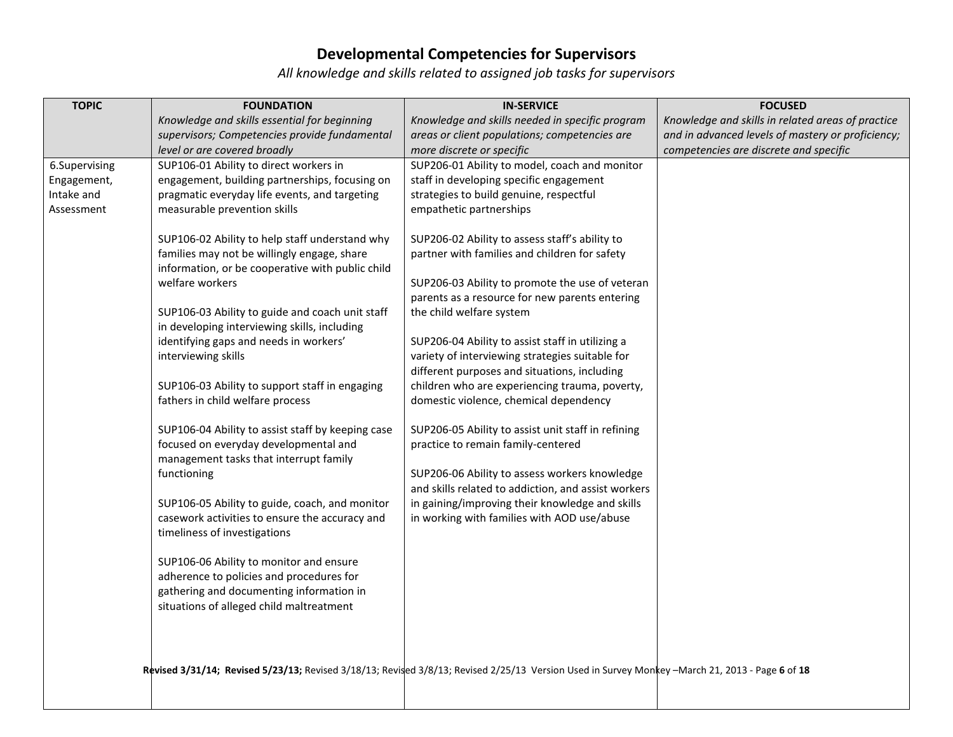| <b>TOPIC</b>  | <b>FOUNDATION</b>                                                                                | <b>IN-SERVICE</b>                                                                                                                               | <b>FOCUSED</b>                                    |
|---------------|--------------------------------------------------------------------------------------------------|-------------------------------------------------------------------------------------------------------------------------------------------------|---------------------------------------------------|
|               | Knowledge and skills essential for beginning                                                     | Knowledge and skills needed in specific program                                                                                                 | Knowledge and skills in related areas of practice |
|               | supervisors; Competencies provide fundamental                                                    | areas or client populations; competencies are                                                                                                   | and in advanced levels of mastery or proficiency; |
|               | level or are covered broadly                                                                     | more discrete or specific                                                                                                                       | competencies are discrete and specific            |
| 6.Supervising | SUP106-01 Ability to direct workers in                                                           | SUP206-01 Ability to model, coach and monitor                                                                                                   |                                                   |
| Engagement,   | engagement, building partnerships, focusing on                                                   | staff in developing specific engagement                                                                                                         |                                                   |
| Intake and    | pragmatic everyday life events, and targeting                                                    | strategies to build genuine, respectful                                                                                                         |                                                   |
| Assessment    | measurable prevention skills                                                                     | empathetic partnerships                                                                                                                         |                                                   |
|               |                                                                                                  |                                                                                                                                                 |                                                   |
|               | SUP106-02 Ability to help staff understand why<br>families may not be willingly engage, share    | SUP206-02 Ability to assess staff's ability to<br>partner with families and children for safety                                                 |                                                   |
|               | information, or be cooperative with public child                                                 |                                                                                                                                                 |                                                   |
|               | welfare workers                                                                                  | SUP206-03 Ability to promote the use of veteran                                                                                                 |                                                   |
|               |                                                                                                  | parents as a resource for new parents entering                                                                                                  |                                                   |
|               | SUP106-03 Ability to guide and coach unit staff                                                  | the child welfare system                                                                                                                        |                                                   |
|               | in developing interviewing skills, including                                                     |                                                                                                                                                 |                                                   |
|               | identifying gaps and needs in workers'                                                           | SUP206-04 Ability to assist staff in utilizing a                                                                                                |                                                   |
|               | interviewing skills                                                                              | variety of interviewing strategies suitable for                                                                                                 |                                                   |
|               |                                                                                                  | different purposes and situations, including                                                                                                    |                                                   |
|               | SUP106-03 Ability to support staff in engaging                                                   | children who are experiencing trauma, poverty,                                                                                                  |                                                   |
|               | fathers in child welfare process                                                                 | domestic violence, chemical dependency                                                                                                          |                                                   |
|               |                                                                                                  |                                                                                                                                                 |                                                   |
|               | SUP106-04 Ability to assist staff by keeping case                                                | SUP206-05 Ability to assist unit staff in refining                                                                                              |                                                   |
|               | focused on everyday developmental and                                                            | practice to remain family-centered                                                                                                              |                                                   |
|               | management tasks that interrupt family                                                           |                                                                                                                                                 |                                                   |
|               | functioning                                                                                      | SUP206-06 Ability to assess workers knowledge                                                                                                   |                                                   |
|               |                                                                                                  | and skills related to addiction, and assist workers                                                                                             |                                                   |
|               | SUP106-05 Ability to guide, coach, and monitor<br>casework activities to ensure the accuracy and | in gaining/improving their knowledge and skills                                                                                                 |                                                   |
|               | timeliness of investigations                                                                     | in working with families with AOD use/abuse                                                                                                     |                                                   |
|               |                                                                                                  |                                                                                                                                                 |                                                   |
|               | SUP106-06 Ability to monitor and ensure                                                          |                                                                                                                                                 |                                                   |
|               | adherence to policies and procedures for                                                         |                                                                                                                                                 |                                                   |
|               | gathering and documenting information in                                                         |                                                                                                                                                 |                                                   |
|               | situations of alleged child maltreatment                                                         |                                                                                                                                                 |                                                   |
|               |                                                                                                  |                                                                                                                                                 |                                                   |
|               |                                                                                                  |                                                                                                                                                 |                                                   |
|               |                                                                                                  |                                                                                                                                                 |                                                   |
|               |                                                                                                  | Revised 3/31/14; Revised 5/23/13; Revised 3/18/13; Revised 3/8/13; Revised 2/25/13 Version Used in Survey Monkey -March 21, 2013 - Page 6 of 18 |                                                   |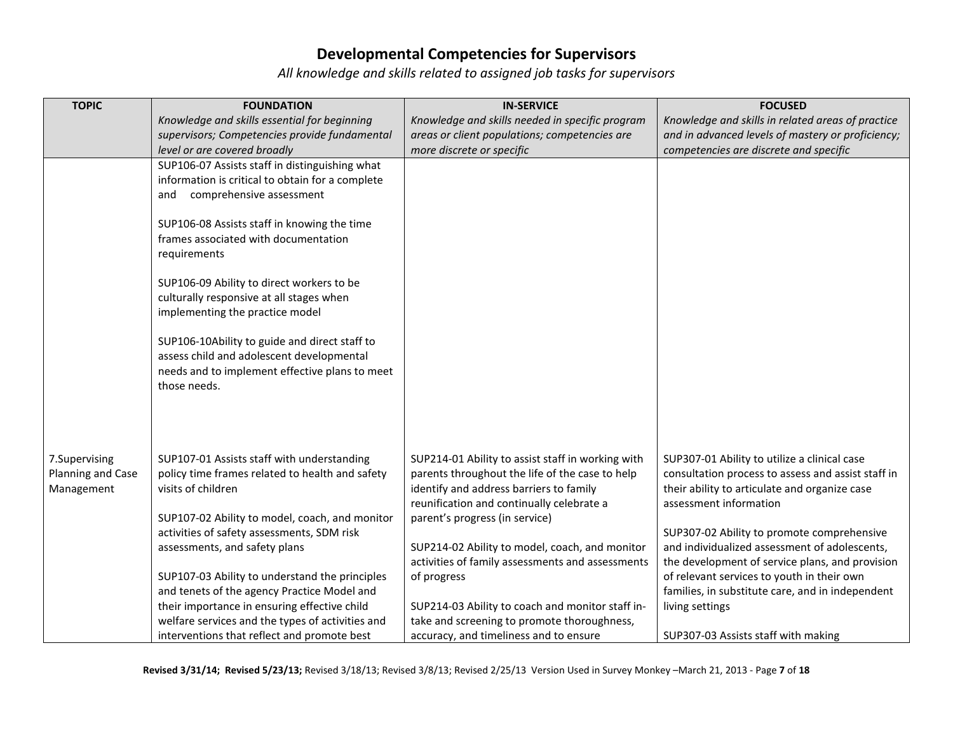| <b>TOPIC</b>      | <b>FOUNDATION</b>                                | <b>IN-SERVICE</b>                                 | <b>FOCUSED</b>                                     |
|-------------------|--------------------------------------------------|---------------------------------------------------|----------------------------------------------------|
|                   | Knowledge and skills essential for beginning     | Knowledge and skills needed in specific program   | Knowledge and skills in related areas of practice  |
|                   | supervisors; Competencies provide fundamental    | areas or client populations; competencies are     | and in advanced levels of mastery or proficiency;  |
|                   | level or are covered broadly                     | more discrete or specific                         | competencies are discrete and specific             |
|                   | SUP106-07 Assists staff in distinguishing what   |                                                   |                                                    |
|                   | information is critical to obtain for a complete |                                                   |                                                    |
|                   | comprehensive assessment<br>and                  |                                                   |                                                    |
|                   |                                                  |                                                   |                                                    |
|                   | SUP106-08 Assists staff in knowing the time      |                                                   |                                                    |
|                   | frames associated with documentation             |                                                   |                                                    |
|                   | requirements                                     |                                                   |                                                    |
|                   | SUP106-09 Ability to direct workers to be        |                                                   |                                                    |
|                   | culturally responsive at all stages when         |                                                   |                                                    |
|                   | implementing the practice model                  |                                                   |                                                    |
|                   |                                                  |                                                   |                                                    |
|                   | SUP106-10Ability to guide and direct staff to    |                                                   |                                                    |
|                   | assess child and adolescent developmental        |                                                   |                                                    |
|                   | needs and to implement effective plans to meet   |                                                   |                                                    |
|                   | those needs.                                     |                                                   |                                                    |
|                   |                                                  |                                                   |                                                    |
|                   |                                                  |                                                   |                                                    |
|                   |                                                  |                                                   |                                                    |
| 7.Supervising     | SUP107-01 Assists staff with understanding       | SUP214-01 Ability to assist staff in working with | SUP307-01 Ability to utilize a clinical case       |
| Planning and Case | policy time frames related to health and safety  | parents throughout the life of the case to help   | consultation process to assess and assist staff in |
| Management        | visits of children                               | identify and address barriers to family           | their ability to articulate and organize case      |
|                   |                                                  | reunification and continually celebrate a         | assessment information                             |
|                   | SUP107-02 Ability to model, coach, and monitor   | parent's progress (in service)                    |                                                    |
|                   | activities of safety assessments, SDM risk       |                                                   | SUP307-02 Ability to promote comprehensive         |
|                   | assessments, and safety plans                    | SUP214-02 Ability to model, coach, and monitor    | and individualized assessment of adolescents,      |
|                   |                                                  | activities of family assessments and assessments  | the development of service plans, and provision    |
|                   | SUP107-03 Ability to understand the principles   | of progress                                       | of relevant services to youth in their own         |
|                   | and tenets of the agency Practice Model and      |                                                   | families, in substitute care, and in independent   |
|                   | their importance in ensuring effective child     | SUP214-03 Ability to coach and monitor staff in-  | living settings                                    |
|                   | welfare services and the types of activities and | take and screening to promote thoroughness,       |                                                    |
|                   | interventions that reflect and promote best      | accuracy, and timeliness and to ensure            | SUP307-03 Assists staff with making                |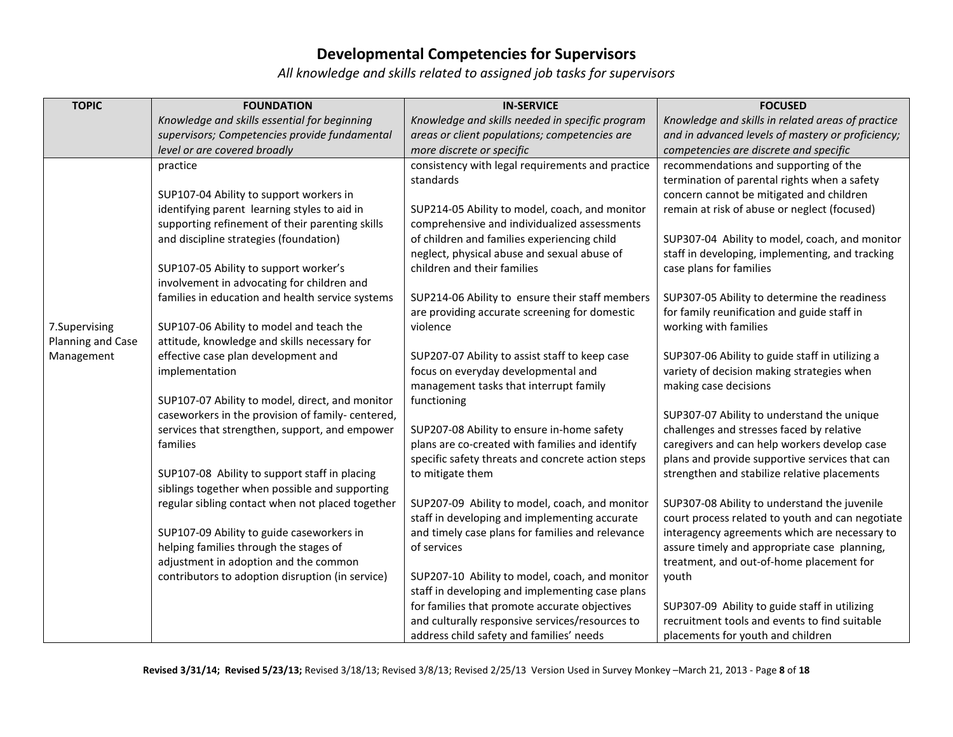| <b>TOPIC</b>      | <b>FOUNDATION</b>                                 | <b>IN-SERVICE</b>                                                             | <b>FOCUSED</b>                                                      |
|-------------------|---------------------------------------------------|-------------------------------------------------------------------------------|---------------------------------------------------------------------|
|                   | Knowledge and skills essential for beginning      | Knowledge and skills needed in specific program                               | Knowledge and skills in related areas of practice                   |
|                   | supervisors; Competencies provide fundamental     | areas or client populations; competencies are                                 | and in advanced levels of mastery or proficiency;                   |
|                   | level or are covered broadly                      | more discrete or specific                                                     | competencies are discrete and specific                              |
|                   | practice                                          | consistency with legal requirements and practice                              | recommendations and supporting of the                               |
|                   |                                                   | standards                                                                     | termination of parental rights when a safety                        |
|                   | SUP107-04 Ability to support workers in           |                                                                               | concern cannot be mitigated and children                            |
|                   | identifying parent learning styles to aid in      | SUP214-05 Ability to model, coach, and monitor                                | remain at risk of abuse or neglect (focused)                        |
|                   | supporting refinement of their parenting skills   | comprehensive and individualized assessments                                  |                                                                     |
|                   | and discipline strategies (foundation)            | of children and families experiencing child                                   | SUP307-04 Ability to model, coach, and monitor                      |
|                   |                                                   | neglect, physical abuse and sexual abuse of                                   | staff in developing, implementing, and tracking                     |
|                   | SUP107-05 Ability to support worker's             | children and their families                                                   | case plans for families                                             |
|                   | involvement in advocating for children and        |                                                                               |                                                                     |
|                   | families in education and health service systems  | SUP214-06 Ability to ensure their staff members                               | SUP307-05 Ability to determine the readiness                        |
|                   |                                                   | are providing accurate screening for domestic                                 | for family reunification and guide staff in                         |
| 7.Supervising     | SUP107-06 Ability to model and teach the          | violence                                                                      | working with families                                               |
| Planning and Case | attitude, knowledge and skills necessary for      |                                                                               |                                                                     |
| Management        | effective case plan development and               | SUP207-07 Ability to assist staff to keep case                                | SUP307-06 Ability to guide staff in utilizing a                     |
|                   | implementation                                    | focus on everyday developmental and<br>management tasks that interrupt family | variety of decision making strategies when<br>making case decisions |
|                   | SUP107-07 Ability to model, direct, and monitor   |                                                                               |                                                                     |
|                   | caseworkers in the provision of family- centered, | functioning                                                                   | SUP307-07 Ability to understand the unique                          |
|                   | services that strengthen, support, and empower    | SUP207-08 Ability to ensure in-home safety                                    | challenges and stresses faced by relative                           |
|                   | families                                          | plans are co-created with families and identify                               | caregivers and can help workers develop case                        |
|                   |                                                   | specific safety threats and concrete action steps                             | plans and provide supportive services that can                      |
|                   | SUP107-08 Ability to support staff in placing     | to mitigate them                                                              | strengthen and stabilize relative placements                        |
|                   | siblings together when possible and supporting    |                                                                               |                                                                     |
|                   | regular sibling contact when not placed together  | SUP207-09 Ability to model, coach, and monitor                                | SUP307-08 Ability to understand the juvenile                        |
|                   |                                                   | staff in developing and implementing accurate                                 | court process related to youth and can negotiate                    |
|                   | SUP107-09 Ability to guide caseworkers in         | and timely case plans for families and relevance                              | interagency agreements which are necessary to                       |
|                   | helping families through the stages of            | of services                                                                   | assure timely and appropriate case planning,                        |
|                   | adjustment in adoption and the common             |                                                                               | treatment, and out-of-home placement for                            |
|                   | contributors to adoption disruption (in service)  | SUP207-10 Ability to model, coach, and monitor                                | youth                                                               |
|                   |                                                   | staff in developing and implementing case plans                               |                                                                     |
|                   |                                                   | for families that promote accurate objectives                                 | SUP307-09 Ability to guide staff in utilizing                       |
|                   |                                                   | and culturally responsive services/resources to                               | recruitment tools and events to find suitable                       |
|                   |                                                   | address child safety and families' needs                                      | placements for youth and children                                   |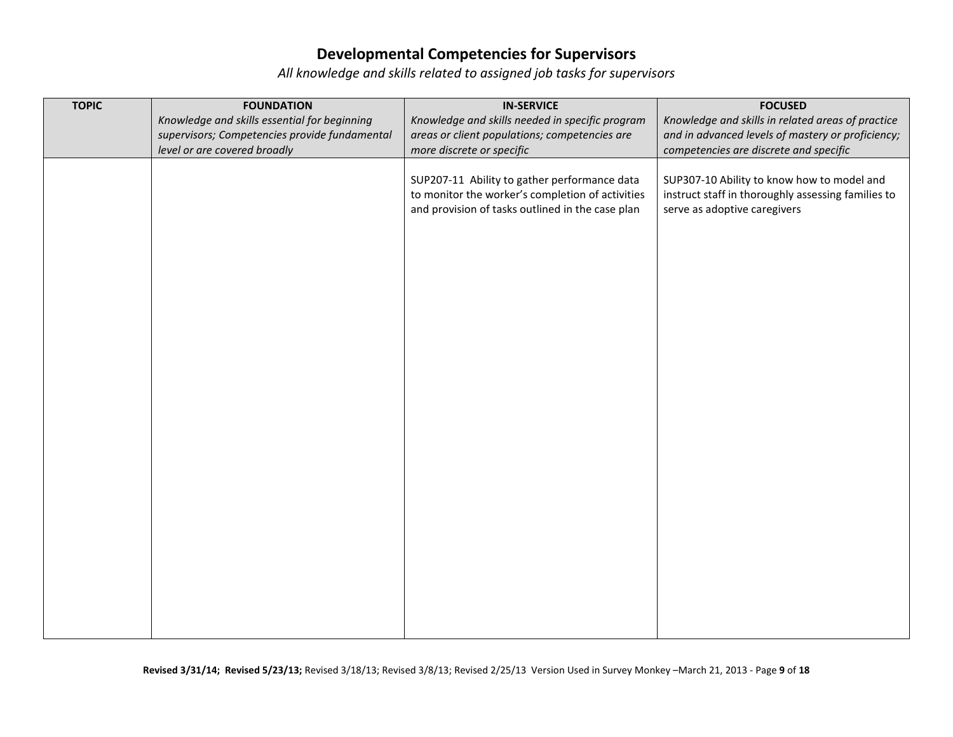| <b>TOPIC</b> | <b>FOUNDATION</b>                             | <b>IN-SERVICE</b>                                | <b>FOCUSED</b>                                     |
|--------------|-----------------------------------------------|--------------------------------------------------|----------------------------------------------------|
|              | Knowledge and skills essential for beginning  | Knowledge and skills needed in specific program  | Knowledge and skills in related areas of practice  |
|              | supervisors; Competencies provide fundamental | areas or client populations; competencies are    | and in advanced levels of mastery or proficiency;  |
|              | level or are covered broadly                  | more discrete or specific                        | competencies are discrete and specific             |
|              |                                               |                                                  |                                                    |
|              |                                               | SUP207-11 Ability to gather performance data     | SUP307-10 Ability to know how to model and         |
|              |                                               | to monitor the worker's completion of activities | instruct staff in thoroughly assessing families to |
|              |                                               | and provision of tasks outlined in the case plan | serve as adoptive caregivers                       |
|              |                                               |                                                  |                                                    |
|              |                                               |                                                  |                                                    |
|              |                                               |                                                  |                                                    |
|              |                                               |                                                  |                                                    |
|              |                                               |                                                  |                                                    |
|              |                                               |                                                  |                                                    |
|              |                                               |                                                  |                                                    |
|              |                                               |                                                  |                                                    |
|              |                                               |                                                  |                                                    |
|              |                                               |                                                  |                                                    |
|              |                                               |                                                  |                                                    |
|              |                                               |                                                  |                                                    |
|              |                                               |                                                  |                                                    |
|              |                                               |                                                  |                                                    |
|              |                                               |                                                  |                                                    |
|              |                                               |                                                  |                                                    |
|              |                                               |                                                  |                                                    |
|              |                                               |                                                  |                                                    |
|              |                                               |                                                  |                                                    |
|              |                                               |                                                  |                                                    |
|              |                                               |                                                  |                                                    |
|              |                                               |                                                  |                                                    |
|              |                                               |                                                  |                                                    |
|              |                                               |                                                  |                                                    |
|              |                                               |                                                  |                                                    |
|              |                                               |                                                  |                                                    |
|              |                                               |                                                  |                                                    |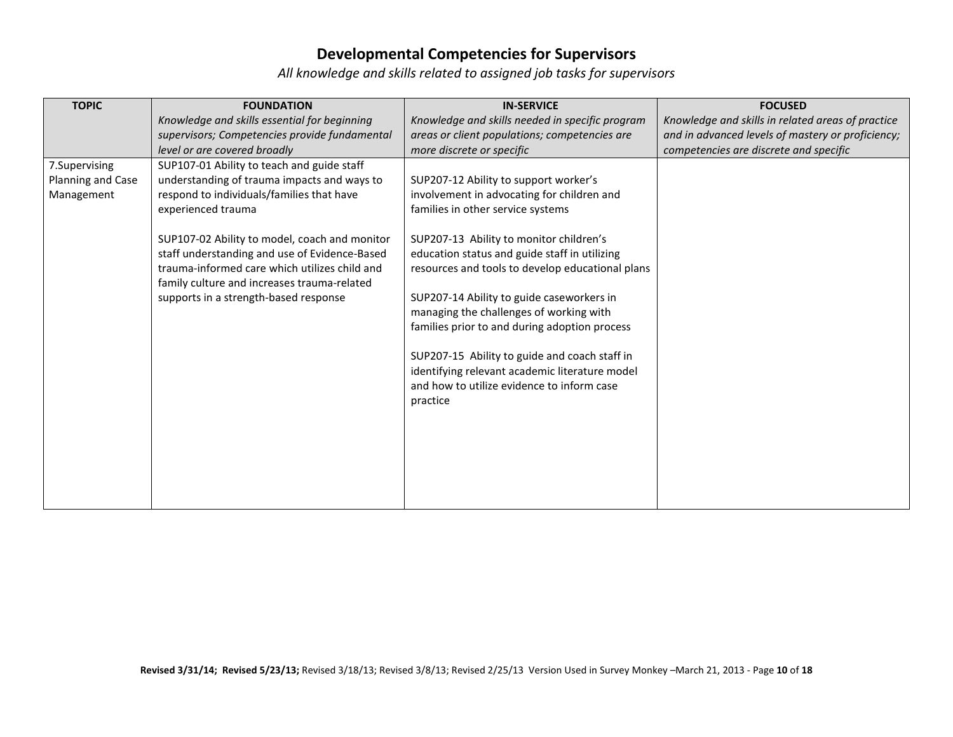| <b>TOPIC</b>                                     | <b>FOUNDATION</b>                                                                                                                                                                                                                                                                                                                                                                                       | <b>IN-SERVICE</b>                                                                                                                                                                                                                                                                                                                                                                                                 | <b>FOCUSED</b>                                    |
|--------------------------------------------------|---------------------------------------------------------------------------------------------------------------------------------------------------------------------------------------------------------------------------------------------------------------------------------------------------------------------------------------------------------------------------------------------------------|-------------------------------------------------------------------------------------------------------------------------------------------------------------------------------------------------------------------------------------------------------------------------------------------------------------------------------------------------------------------------------------------------------------------|---------------------------------------------------|
|                                                  | Knowledge and skills essential for beginning                                                                                                                                                                                                                                                                                                                                                            | Knowledge and skills needed in specific program                                                                                                                                                                                                                                                                                                                                                                   | Knowledge and skills in related areas of practice |
|                                                  | supervisors; Competencies provide fundamental                                                                                                                                                                                                                                                                                                                                                           | areas or client populations; competencies are                                                                                                                                                                                                                                                                                                                                                                     | and in advanced levels of mastery or proficiency; |
|                                                  | level or are covered broadly                                                                                                                                                                                                                                                                                                                                                                            | more discrete or specific                                                                                                                                                                                                                                                                                                                                                                                         | competencies are discrete and specific            |
| 7.Supervising<br>Planning and Case<br>Management | SUP107-01 Ability to teach and guide staff<br>understanding of trauma impacts and ways to<br>respond to individuals/families that have<br>experienced trauma<br>SUP107-02 Ability to model, coach and monitor<br>staff understanding and use of Evidence-Based<br>trauma-informed care which utilizes child and<br>family culture and increases trauma-related<br>supports in a strength-based response | SUP207-12 Ability to support worker's<br>involvement in advocating for children and<br>families in other service systems<br>SUP207-13 Ability to monitor children's<br>education status and guide staff in utilizing<br>resources and tools to develop educational plans<br>SUP207-14 Ability to guide caseworkers in<br>managing the challenges of working with<br>families prior to and during adoption process |                                                   |
|                                                  |                                                                                                                                                                                                                                                                                                                                                                                                         | SUP207-15 Ability to guide and coach staff in<br>identifying relevant academic literature model<br>and how to utilize evidence to inform case<br>practice                                                                                                                                                                                                                                                         |                                                   |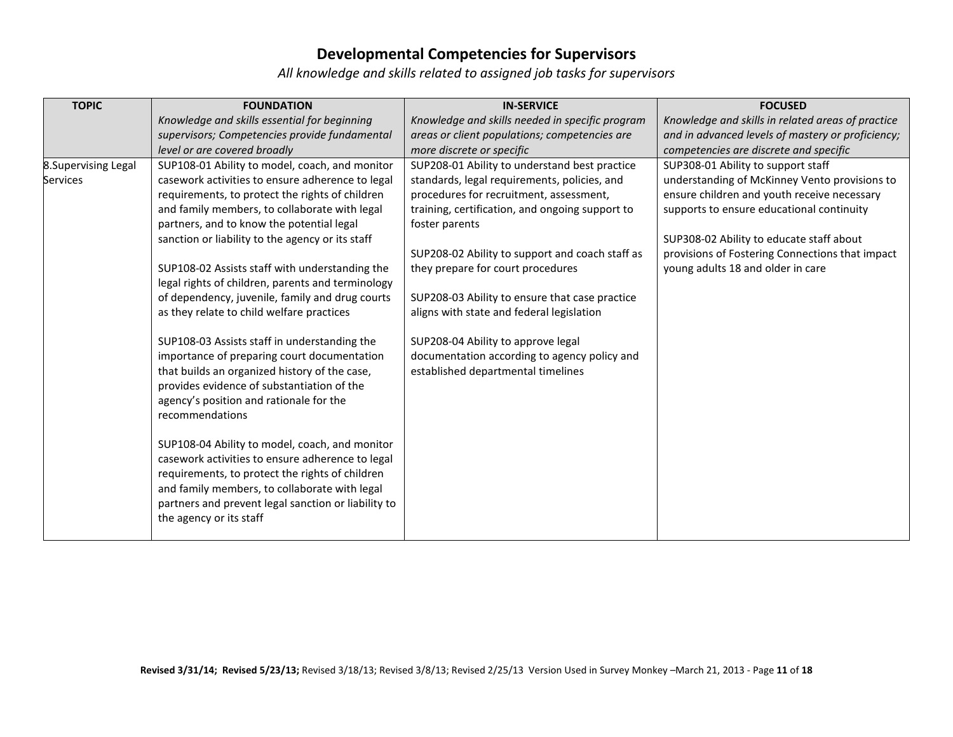| <b>TOPIC</b>         | <b>FOUNDATION</b>                                   | <b>IN-SERVICE</b>                               | <b>FOCUSED</b>                                    |
|----------------------|-----------------------------------------------------|-------------------------------------------------|---------------------------------------------------|
|                      | Knowledge and skills essential for beginning        | Knowledge and skills needed in specific program | Knowledge and skills in related areas of practice |
|                      | supervisors; Competencies provide fundamental       | areas or client populations; competencies are   | and in advanced levels of mastery or proficiency; |
|                      | level or are covered broadly                        | more discrete or specific                       | competencies are discrete and specific            |
| 8. Supervising Legal | SUP108-01 Ability to model, coach, and monitor      | SUP208-01 Ability to understand best practice   | SUP308-01 Ability to support staff                |
| <b>Services</b>      | casework activities to ensure adherence to legal    | standards, legal requirements, policies, and    | understanding of McKinney Vento provisions to     |
|                      | requirements, to protect the rights of children     | procedures for recruitment, assessment,         | ensure children and youth receive necessary       |
|                      | and family members, to collaborate with legal       | training, certification, and ongoing support to | supports to ensure educational continuity         |
|                      | partners, and to know the potential legal           | foster parents                                  |                                                   |
|                      | sanction or liability to the agency or its staff    |                                                 | SUP308-02 Ability to educate staff about          |
|                      |                                                     | SUP208-02 Ability to support and coach staff as | provisions of Fostering Connections that impact   |
|                      | SUP108-02 Assists staff with understanding the      | they prepare for court procedures               | young adults 18 and older in care                 |
|                      | legal rights of children, parents and terminology   |                                                 |                                                   |
|                      | of dependency, juvenile, family and drug courts     | SUP208-03 Ability to ensure that case practice  |                                                   |
|                      | as they relate to child welfare practices           | aligns with state and federal legislation       |                                                   |
|                      | SUP108-03 Assists staff in understanding the        | SUP208-04 Ability to approve legal              |                                                   |
|                      | importance of preparing court documentation         | documentation according to agency policy and    |                                                   |
|                      | that builds an organized history of the case,       | established departmental timelines              |                                                   |
|                      | provides evidence of substantiation of the          |                                                 |                                                   |
|                      | agency's position and rationale for the             |                                                 |                                                   |
|                      | recommendations                                     |                                                 |                                                   |
|                      |                                                     |                                                 |                                                   |
|                      | SUP108-04 Ability to model, coach, and monitor      |                                                 |                                                   |
|                      | casework activities to ensure adherence to legal    |                                                 |                                                   |
|                      | requirements, to protect the rights of children     |                                                 |                                                   |
|                      | and family members, to collaborate with legal       |                                                 |                                                   |
|                      | partners and prevent legal sanction or liability to |                                                 |                                                   |
|                      | the agency or its staff                             |                                                 |                                                   |
|                      |                                                     |                                                 |                                                   |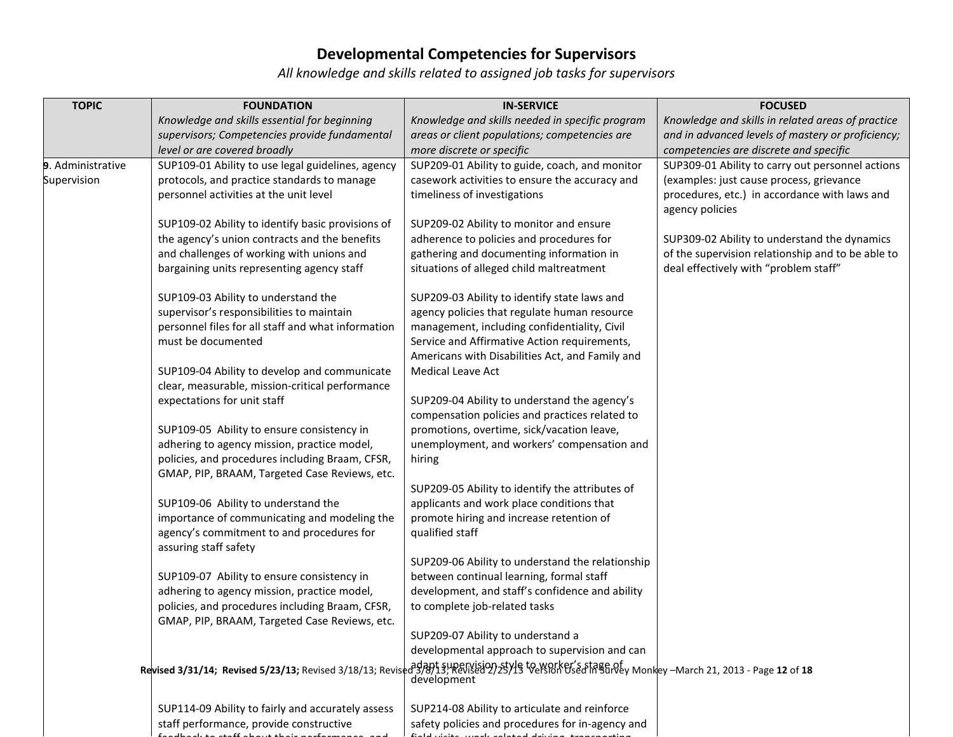| <b>TOPIC</b>      | <b>FOUNDATION</b>                                                                                                                                | <b>IN-SERVICE</b>                                | <b>FOCUSED</b>                                    |
|-------------------|--------------------------------------------------------------------------------------------------------------------------------------------------|--------------------------------------------------|---------------------------------------------------|
|                   | Knowledge and skills essential for beginning                                                                                                     | Knowledge and skills needed in specific program  | Knowledge and skills in related areas of practice |
|                   | supervisors; Competencies provide fundamental                                                                                                    | areas or client populations; competencies are    | and in advanced levels of mastery or proficiency; |
|                   | level or are covered broadly                                                                                                                     | more discrete or specific                        | competencies are discrete and specific            |
| 9. Administrative | SUP109-01 Ability to use legal guidelines, agency                                                                                                | SUP209-01 Ability to guide, coach, and monitor   | SUP309-01 Ability to carry out personnel actions  |
| Supervision       | protocols, and practice standards to manage                                                                                                      | casework activities to ensure the accuracy and   | (examples: just cause process, grievance          |
|                   | personnel activities at the unit level                                                                                                           | timeliness of investigations                     | procedures, etc.) in accordance with laws and     |
|                   |                                                                                                                                                  |                                                  | agency policies                                   |
|                   | SUP109-02 Ability to identify basic provisions of                                                                                                | SUP209-02 Ability to monitor and ensure          |                                                   |
|                   | the agency's union contracts and the benefits                                                                                                    | adherence to policies and procedures for         | SUP309-02 Ability to understand the dynamics      |
|                   | and challenges of working with unions and                                                                                                        | gathering and documenting information in         | of the supervision relationship and to be able to |
|                   | bargaining units representing agency staff                                                                                                       | situations of alleged child maltreatment         | deal effectively with "problem staff"             |
|                   | SUP109-03 Ability to understand the                                                                                                              | SUP209-03 Ability to identify state laws and     |                                                   |
|                   | supervisor's responsibilities to maintain                                                                                                        | agency policies that regulate human resource     |                                                   |
|                   | personnel files for all staff and what information                                                                                               | management, including confidentiality, Civil     |                                                   |
|                   | must be documented                                                                                                                               | Service and Affirmative Action requirements,     |                                                   |
|                   |                                                                                                                                                  | Americans with Disabilities Act, and Family and  |                                                   |
|                   | SUP109-04 Ability to develop and communicate                                                                                                     | Medical Leave Act                                |                                                   |
|                   | clear, measurable, mission-critical performance                                                                                                  |                                                  |                                                   |
|                   | expectations for unit staff                                                                                                                      | SUP209-04 Ability to understand the agency's     |                                                   |
|                   |                                                                                                                                                  | compensation policies and practices related to   |                                                   |
|                   | SUP109-05 Ability to ensure consistency in                                                                                                       | promotions, overtime, sick/vacation leave,       |                                                   |
|                   | adhering to agency mission, practice model,                                                                                                      | unemployment, and workers' compensation and      |                                                   |
|                   | policies, and procedures including Braam, CFSR,                                                                                                  | hiring                                           |                                                   |
|                   | GMAP, PIP, BRAAM, Targeted Case Reviews, etc.                                                                                                    |                                                  |                                                   |
|                   |                                                                                                                                                  | SUP209-05 Ability to identify the attributes of  |                                                   |
|                   | SUP109-06 Ability to understand the                                                                                                              | applicants and work place conditions that        |                                                   |
|                   | importance of communicating and modeling the                                                                                                     | promote hiring and increase retention of         |                                                   |
|                   | agency's commitment to and procedures for                                                                                                        | qualified staff                                  |                                                   |
|                   | assuring staff safety                                                                                                                            | SUP209-06 Ability to understand the relationship |                                                   |
|                   | SUP109-07 Ability to ensure consistency in                                                                                                       | between continual learning, formal staff         |                                                   |
|                   | adhering to agency mission, practice model,                                                                                                      | development, and staff's confidence and ability  |                                                   |
|                   | policies, and procedures including Braam, CFSR,                                                                                                  | to complete job-related tasks                    |                                                   |
|                   | GMAP, PIP, BRAAM, Targeted Case Reviews, etc.                                                                                                    |                                                  |                                                   |
|                   |                                                                                                                                                  | SUP209-07 Ability to understand a                |                                                   |
|                   |                                                                                                                                                  | developmental approach to supervision and can    |                                                   |
|                   | Revised 3/31/14; Revised 5/23/13; Revised 3/18/13; Revised 3/8/13; Revised 2/25/13 Version Used in Survey Monkey -March 21, 2013 - Page 12 of 18 |                                                  |                                                   |
|                   |                                                                                                                                                  | development                                      |                                                   |
|                   | SUP114-09 Ability to fairly and accurately assess                                                                                                | SUP214-08 Ability to articulate and reinforce    |                                                   |
|                   | staff performance, provide constructive                                                                                                          | safety policies and procedures for in-agency and |                                                   |
|                   |                                                                                                                                                  |                                                  |                                                   |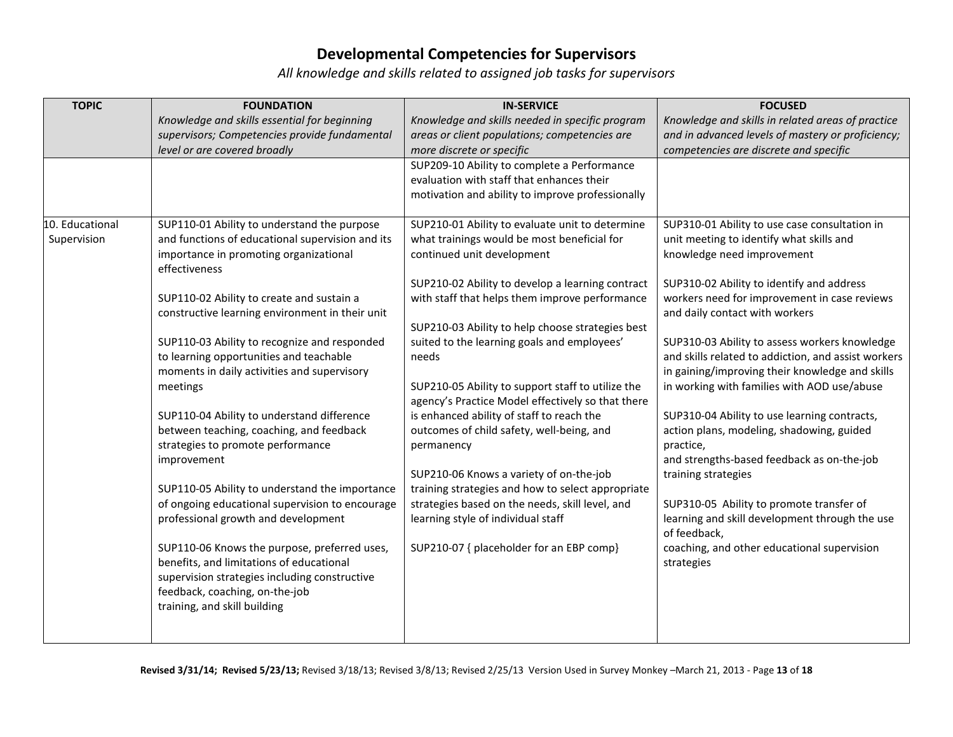| <b>TOPIC</b>                   | <b>FOUNDATION</b>                                       | <b>IN-SERVICE</b>                                 | <b>FOCUSED</b>                                      |
|--------------------------------|---------------------------------------------------------|---------------------------------------------------|-----------------------------------------------------|
|                                | Knowledge and skills essential for beginning            | Knowledge and skills needed in specific program   | Knowledge and skills in related areas of practice   |
|                                | supervisors; Competencies provide fundamental           | areas or client populations; competencies are     | and in advanced levels of mastery or proficiency;   |
|                                | level or are covered broadly                            | more discrete or specific                         | competencies are discrete and specific              |
|                                |                                                         | SUP209-10 Ability to complete a Performance       |                                                     |
|                                |                                                         | evaluation with staff that enhances their         |                                                     |
|                                |                                                         | motivation and ability to improve professionally  |                                                     |
|                                |                                                         |                                                   |                                                     |
| 10. Educational<br>Supervision | SUP110-01 Ability to understand the purpose             | SUP210-01 Ability to evaluate unit to determine   | SUP310-01 Ability to use case consultation in       |
|                                | and functions of educational supervision and its        | what trainings would be most beneficial for       | unit meeting to identify what skills and            |
|                                | importance in promoting organizational<br>effectiveness | continued unit development                        | knowledge need improvement                          |
|                                |                                                         | SUP210-02 Ability to develop a learning contract  | SUP310-02 Ability to identify and address           |
|                                | SUP110-02 Ability to create and sustain a               | with staff that helps them improve performance    | workers need for improvement in case reviews        |
|                                | constructive learning environment in their unit         |                                                   | and daily contact with workers                      |
|                                |                                                         | SUP210-03 Ability to help choose strategies best  |                                                     |
|                                | SUP110-03 Ability to recognize and responded            | suited to the learning goals and employees'       | SUP310-03 Ability to assess workers knowledge       |
|                                | to learning opportunities and teachable                 | needs                                             | and skills related to addiction, and assist workers |
|                                | moments in daily activities and supervisory             |                                                   | in gaining/improving their knowledge and skills     |
|                                | meetings                                                | SUP210-05 Ability to support staff to utilize the | in working with families with AOD use/abuse         |
|                                |                                                         | agency's Practice Model effectively so that there |                                                     |
|                                | SUP110-04 Ability to understand difference              | is enhanced ability of staff to reach the         | SUP310-04 Ability to use learning contracts,        |
|                                | between teaching, coaching, and feedback                | outcomes of child safety, well-being, and         | action plans, modeling, shadowing, guided           |
|                                | strategies to promote performance                       | permanency                                        | practice,                                           |
|                                | improvement                                             |                                                   | and strengths-based feedback as on-the-job          |
|                                |                                                         | SUP210-06 Knows a variety of on-the-job           | training strategies                                 |
|                                | SUP110-05 Ability to understand the importance          | training strategies and how to select appropriate |                                                     |
|                                | of ongoing educational supervision to encourage         | strategies based on the needs, skill level, and   | SUP310-05 Ability to promote transfer of            |
|                                | professional growth and development                     | learning style of individual staff                | learning and skill development through the use      |
|                                |                                                         |                                                   | of feedback,                                        |
|                                | SUP110-06 Knows the purpose, preferred uses,            | SUP210-07 { placeholder for an EBP comp}          | coaching, and other educational supervision         |
|                                | benefits, and limitations of educational                |                                                   | strategies                                          |
|                                | supervision strategies including constructive           |                                                   |                                                     |
|                                | feedback, coaching, on-the-job                          |                                                   |                                                     |
|                                | training, and skill building                            |                                                   |                                                     |
|                                |                                                         |                                                   |                                                     |
|                                |                                                         |                                                   |                                                     |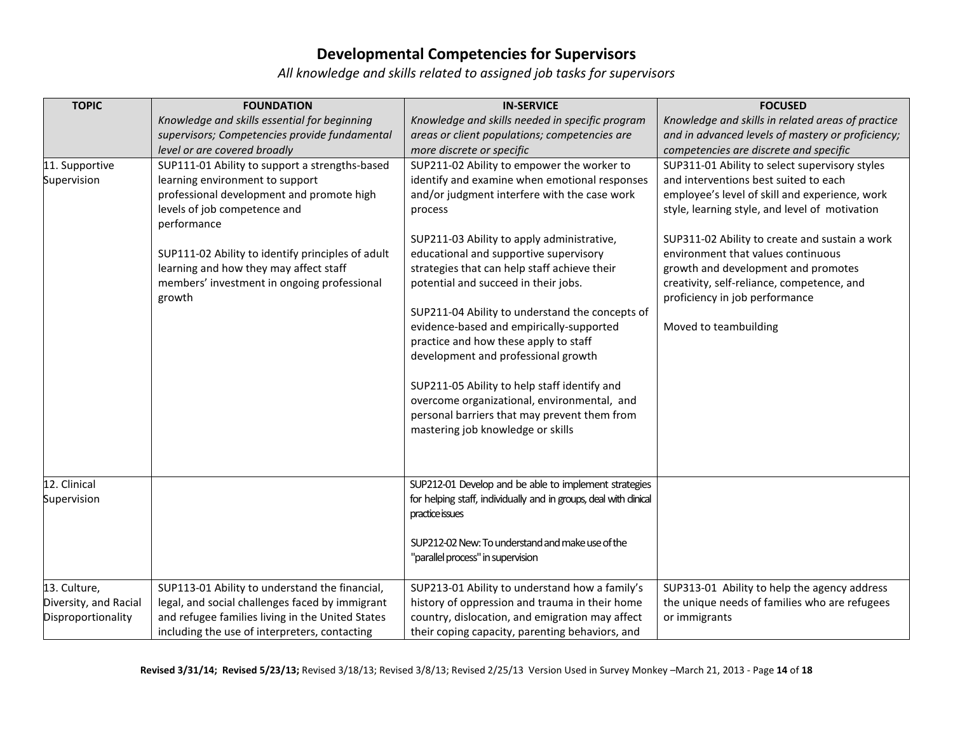*All knowledge and skills related to assigned job tasks for supervisors*

| <b>TOPIC</b>                                                | <b>FOUNDATION</b>                                                                                                                                                                                                                                                                                                                     | <b>IN-SERVICE</b>                                                                                                                                                                                                                                                                                                                                                                                                                                                                                                                                                                                                                                                                                         | <b>FOCUSED</b>                                                                                                                                                                                                                                                                                                                                                                                                                      |
|-------------------------------------------------------------|---------------------------------------------------------------------------------------------------------------------------------------------------------------------------------------------------------------------------------------------------------------------------------------------------------------------------------------|-----------------------------------------------------------------------------------------------------------------------------------------------------------------------------------------------------------------------------------------------------------------------------------------------------------------------------------------------------------------------------------------------------------------------------------------------------------------------------------------------------------------------------------------------------------------------------------------------------------------------------------------------------------------------------------------------------------|-------------------------------------------------------------------------------------------------------------------------------------------------------------------------------------------------------------------------------------------------------------------------------------------------------------------------------------------------------------------------------------------------------------------------------------|
|                                                             | Knowledge and skills essential for beginning                                                                                                                                                                                                                                                                                          | Knowledge and skills needed in specific program                                                                                                                                                                                                                                                                                                                                                                                                                                                                                                                                                                                                                                                           | Knowledge and skills in related areas of practice                                                                                                                                                                                                                                                                                                                                                                                   |
|                                                             | supervisors; Competencies provide fundamental                                                                                                                                                                                                                                                                                         | areas or client populations; competencies are                                                                                                                                                                                                                                                                                                                                                                                                                                                                                                                                                                                                                                                             | and in advanced levels of mastery or proficiency;                                                                                                                                                                                                                                                                                                                                                                                   |
|                                                             | level or are covered broadly                                                                                                                                                                                                                                                                                                          | more discrete or specific                                                                                                                                                                                                                                                                                                                                                                                                                                                                                                                                                                                                                                                                                 | competencies are discrete and specific                                                                                                                                                                                                                                                                                                                                                                                              |
| 11. Supportive<br>Supervision                               | SUP111-01 Ability to support a strengths-based<br>learning environment to support<br>professional development and promote high<br>levels of job competence and<br>performance<br>SUP111-02 Ability to identify principles of adult<br>learning and how they may affect staff<br>members' investment in ongoing professional<br>growth | SUP211-02 Ability to empower the worker to<br>identify and examine when emotional responses<br>and/or judgment interfere with the case work<br>process<br>SUP211-03 Ability to apply administrative,<br>educational and supportive supervisory<br>strategies that can help staff achieve their<br>potential and succeed in their jobs.<br>SUP211-04 Ability to understand the concepts of<br>evidence-based and empirically-supported<br>practice and how these apply to staff<br>development and professional growth<br>SUP211-05 Ability to help staff identify and<br>overcome organizational, environmental, and<br>personal barriers that may prevent them from<br>mastering job knowledge or skills | SUP311-01 Ability to select supervisory styles<br>and interventions best suited to each<br>employee's level of skill and experience, work<br>style, learning style, and level of motivation<br>SUP311-02 Ability to create and sustain a work<br>environment that values continuous<br>growth and development and promotes<br>creativity, self-reliance, competence, and<br>proficiency in job performance<br>Moved to teambuilding |
| 12. Clinical<br>Supervision                                 |                                                                                                                                                                                                                                                                                                                                       | SUP212-01 Develop and be able to implement strategies<br>for helping staff, individually and in groups, deal with dinical<br>practice issues                                                                                                                                                                                                                                                                                                                                                                                                                                                                                                                                                              |                                                                                                                                                                                                                                                                                                                                                                                                                                     |
|                                                             |                                                                                                                                                                                                                                                                                                                                       | SUP212-02 New: To understand and make use of the<br>"parallel process" in supervision                                                                                                                                                                                                                                                                                                                                                                                                                                                                                                                                                                                                                     |                                                                                                                                                                                                                                                                                                                                                                                                                                     |
| 13. Culture,<br>Diversity, and Racial<br>Disproportionality | SUP113-01 Ability to understand the financial,<br>legal, and social challenges faced by immigrant<br>and refugee families living in the United States<br>including the use of interpreters, contacting                                                                                                                                | SUP213-01 Ability to understand how a family's<br>history of oppression and trauma in their home<br>country, dislocation, and emigration may affect<br>their coping capacity, parenting behaviors, and                                                                                                                                                                                                                                                                                                                                                                                                                                                                                                    | SUP313-01 Ability to help the agency address<br>the unique needs of families who are refugees<br>or immigrants                                                                                                                                                                                                                                                                                                                      |

**Revised 3/31/14; Revised 5/23/13;** Revised 3/18/13; Revised 3/8/13; Revised 2/25/13 Version Used in Survey Monkey –March 21, 2013 - Page **14** of **18**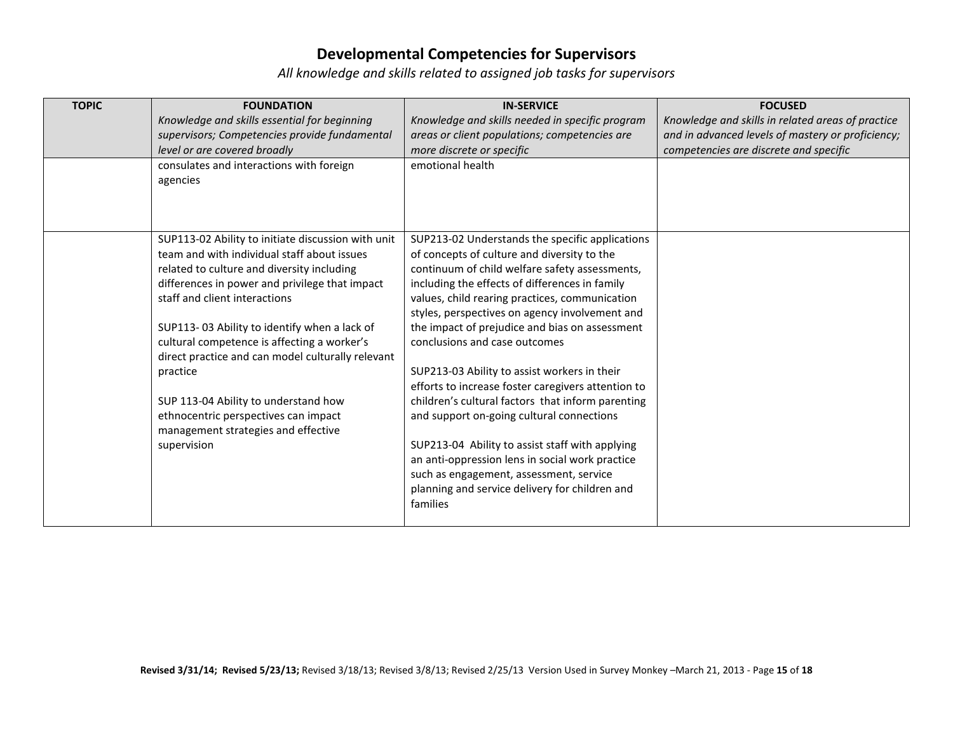| <b>TOPIC</b> | <b>FOUNDATION</b>                                  | <b>IN-SERVICE</b>                                  | <b>FOCUSED</b>                                    |
|--------------|----------------------------------------------------|----------------------------------------------------|---------------------------------------------------|
|              | Knowledge and skills essential for beginning       | Knowledge and skills needed in specific program    | Knowledge and skills in related areas of practice |
|              | supervisors; Competencies provide fundamental      | areas or client populations; competencies are      | and in advanced levels of mastery or proficiency; |
|              | level or are covered broadly                       | more discrete or specific                          | competencies are discrete and specific            |
|              | consulates and interactions with foreign           | emotional health                                   |                                                   |
|              | agencies                                           |                                                    |                                                   |
|              |                                                    |                                                    |                                                   |
|              |                                                    |                                                    |                                                   |
|              |                                                    |                                                    |                                                   |
|              | SUP113-02 Ability to initiate discussion with unit | SUP213-02 Understands the specific applications    |                                                   |
|              | team and with individual staff about issues        | of concepts of culture and diversity to the        |                                                   |
|              | related to culture and diversity including         | continuum of child welfare safety assessments,     |                                                   |
|              | differences in power and privilege that impact     | including the effects of differences in family     |                                                   |
|              | staff and client interactions                      | values, child rearing practices, communication     |                                                   |
|              |                                                    | styles, perspectives on agency involvement and     |                                                   |
|              | SUP113-03 Ability to identify when a lack of       | the impact of prejudice and bias on assessment     |                                                   |
|              | cultural competence is affecting a worker's        | conclusions and case outcomes                      |                                                   |
|              | direct practice and can model culturally relevant  |                                                    |                                                   |
|              | practice                                           | SUP213-03 Ability to assist workers in their       |                                                   |
|              |                                                    | efforts to increase foster caregivers attention to |                                                   |
|              | SUP 113-04 Ability to understand how               | children's cultural factors that inform parenting  |                                                   |
|              | ethnocentric perspectives can impact               | and support on-going cultural connections          |                                                   |
|              | management strategies and effective                |                                                    |                                                   |
|              | supervision                                        | SUP213-04 Ability to assist staff with applying    |                                                   |
|              |                                                    | an anti-oppression lens in social work practice    |                                                   |
|              |                                                    | such as engagement, assessment, service            |                                                   |
|              |                                                    | planning and service delivery for children and     |                                                   |
|              |                                                    | families                                           |                                                   |
|              |                                                    |                                                    |                                                   |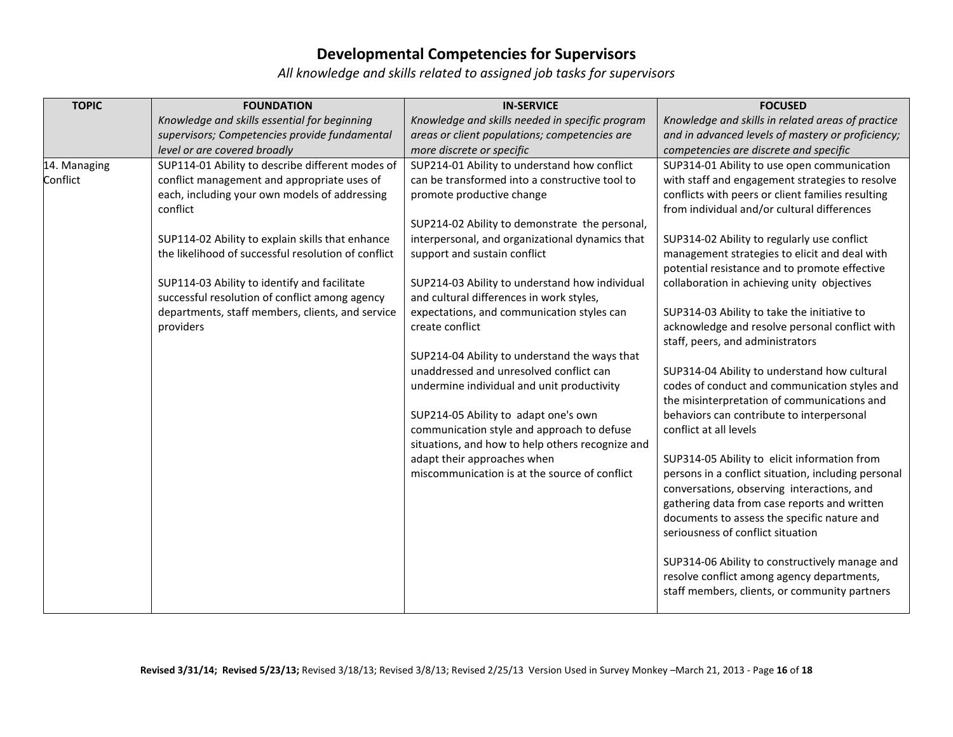| <b>TOPIC</b> | <b>FOUNDATION</b>                                                                                  | <b>IN-SERVICE</b>                                                                      | <b>FOCUSED</b>                                                                                |
|--------------|----------------------------------------------------------------------------------------------------|----------------------------------------------------------------------------------------|-----------------------------------------------------------------------------------------------|
|              | Knowledge and skills essential for beginning                                                       | Knowledge and skills needed in specific program                                        | Knowledge and skills in related areas of practice                                             |
|              | supervisors; Competencies provide fundamental                                                      | areas or client populations; competencies are                                          | and in advanced levels of mastery or proficiency;                                             |
|              | level or are covered broadly                                                                       | more discrete or specific                                                              | competencies are discrete and specific                                                        |
| 14. Managing | SUP114-01 Ability to describe different modes of                                                   | SUP214-01 Ability to understand how conflict                                           | SUP314-01 Ability to use open communication                                                   |
| Conflict     | conflict management and appropriate uses of                                                        | can be transformed into a constructive tool to                                         | with staff and engagement strategies to resolve                                               |
|              | each, including your own models of addressing                                                      | promote productive change                                                              | conflicts with peers or client families resulting                                             |
|              | conflict                                                                                           |                                                                                        | from individual and/or cultural differences                                                   |
|              |                                                                                                    | SUP214-02 Ability to demonstrate the personal,                                         |                                                                                               |
|              | SUP114-02 Ability to explain skills that enhance                                                   | interpersonal, and organizational dynamics that                                        | SUP314-02 Ability to regularly use conflict                                                   |
|              | the likelihood of successful resolution of conflict                                                | support and sustain conflict                                                           | management strategies to elicit and deal with                                                 |
|              |                                                                                                    |                                                                                        | potential resistance and to promote effective                                                 |
|              | SUP114-03 Ability to identify and facilitate                                                       | SUP214-03 Ability to understand how individual                                         | collaboration in achieving unity objectives                                                   |
|              | successful resolution of conflict among agency<br>departments, staff members, clients, and service | and cultural differences in work styles,<br>expectations, and communication styles can |                                                                                               |
|              |                                                                                                    | create conflict                                                                        | SUP314-03 Ability to take the initiative to<br>acknowledge and resolve personal conflict with |
|              | providers                                                                                          |                                                                                        | staff, peers, and administrators                                                              |
|              |                                                                                                    | SUP214-04 Ability to understand the ways that                                          |                                                                                               |
|              |                                                                                                    | unaddressed and unresolved conflict can                                                | SUP314-04 Ability to understand how cultural                                                  |
|              |                                                                                                    | undermine individual and unit productivity                                             | codes of conduct and communication styles and                                                 |
|              |                                                                                                    |                                                                                        | the misinterpretation of communications and                                                   |
|              |                                                                                                    | SUP214-05 Ability to adapt one's own                                                   | behaviors can contribute to interpersonal                                                     |
|              |                                                                                                    | communication style and approach to defuse                                             | conflict at all levels                                                                        |
|              |                                                                                                    | situations, and how to help others recognize and                                       |                                                                                               |
|              |                                                                                                    | adapt their approaches when                                                            | SUP314-05 Ability to elicit information from                                                  |
|              |                                                                                                    | miscommunication is at the source of conflict                                          | persons in a conflict situation, including personal                                           |
|              |                                                                                                    |                                                                                        | conversations, observing interactions, and                                                    |
|              |                                                                                                    |                                                                                        | gathering data from case reports and written                                                  |
|              |                                                                                                    |                                                                                        | documents to assess the specific nature and                                                   |
|              |                                                                                                    |                                                                                        | seriousness of conflict situation                                                             |
|              |                                                                                                    |                                                                                        | SUP314-06 Ability to constructively manage and                                                |
|              |                                                                                                    |                                                                                        | resolve conflict among agency departments,                                                    |
|              |                                                                                                    |                                                                                        | staff members, clients, or community partners                                                 |
|              |                                                                                                    |                                                                                        |                                                                                               |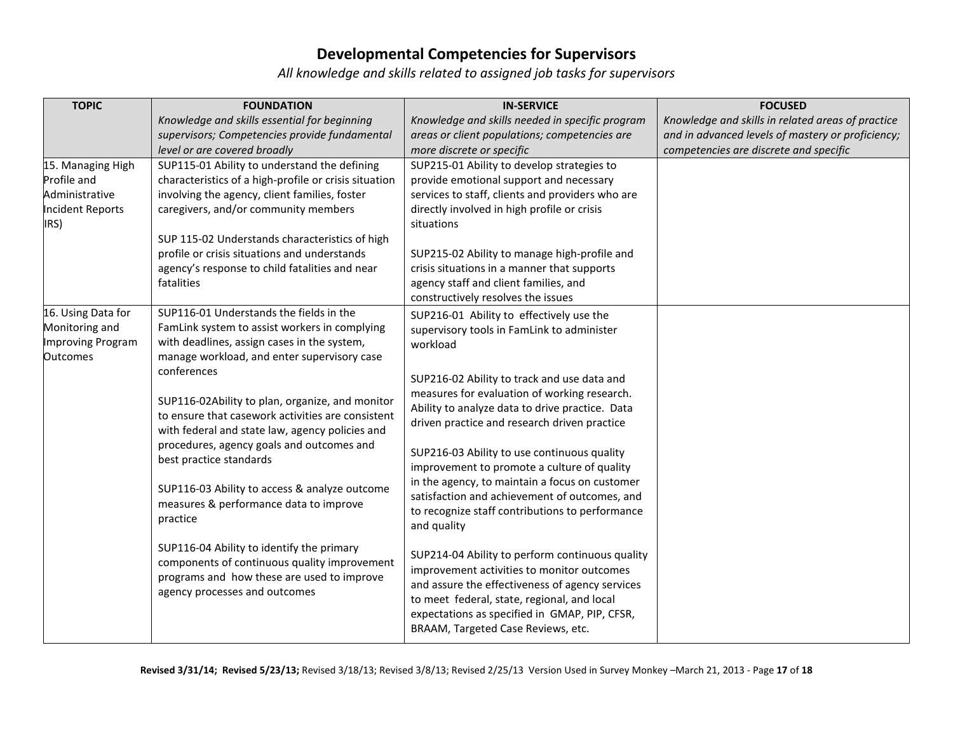| <b>TOPIC</b>                                                                          | <b>FOUNDATION</b>                                                                                                                                                                                                                                                                                                                                                                                                                                                                                                                                                                                                                                                                                                           | <b>IN-SERVICE</b>                                                                                                                                                                                                                                                                                                                                                                                                                                                                                                                                                                                                                                                                                                                                                                                                                                                                                       | <b>FOCUSED</b>                                    |
|---------------------------------------------------------------------------------------|-----------------------------------------------------------------------------------------------------------------------------------------------------------------------------------------------------------------------------------------------------------------------------------------------------------------------------------------------------------------------------------------------------------------------------------------------------------------------------------------------------------------------------------------------------------------------------------------------------------------------------------------------------------------------------------------------------------------------------|---------------------------------------------------------------------------------------------------------------------------------------------------------------------------------------------------------------------------------------------------------------------------------------------------------------------------------------------------------------------------------------------------------------------------------------------------------------------------------------------------------------------------------------------------------------------------------------------------------------------------------------------------------------------------------------------------------------------------------------------------------------------------------------------------------------------------------------------------------------------------------------------------------|---------------------------------------------------|
|                                                                                       | Knowledge and skills essential for beginning                                                                                                                                                                                                                                                                                                                                                                                                                                                                                                                                                                                                                                                                                | Knowledge and skills needed in specific program                                                                                                                                                                                                                                                                                                                                                                                                                                                                                                                                                                                                                                                                                                                                                                                                                                                         | Knowledge and skills in related areas of practice |
|                                                                                       | supervisors; Competencies provide fundamental                                                                                                                                                                                                                                                                                                                                                                                                                                                                                                                                                                                                                                                                               | areas or client populations; competencies are                                                                                                                                                                                                                                                                                                                                                                                                                                                                                                                                                                                                                                                                                                                                                                                                                                                           | and in advanced levels of mastery or proficiency; |
|                                                                                       | level or are covered broadly                                                                                                                                                                                                                                                                                                                                                                                                                                                                                                                                                                                                                                                                                                | more discrete or specific                                                                                                                                                                                                                                                                                                                                                                                                                                                                                                                                                                                                                                                                                                                                                                                                                                                                               | competencies are discrete and specific            |
| 15. Managing High<br>Profile and<br>Administrative<br><b>Incident Reports</b><br>IRS) | SUP115-01 Ability to understand the defining<br>characteristics of a high-profile or crisis situation<br>involving the agency, client families, foster<br>caregivers, and/or community members<br>SUP 115-02 Understands characteristics of high<br>profile or crisis situations and understands<br>agency's response to child fatalities and near<br>fatalities                                                                                                                                                                                                                                                                                                                                                            | SUP215-01 Ability to develop strategies to<br>provide emotional support and necessary<br>services to staff, clients and providers who are<br>directly involved in high profile or crisis<br>situations<br>SUP215-02 Ability to manage high-profile and<br>crisis situations in a manner that supports<br>agency staff and client families, and                                                                                                                                                                                                                                                                                                                                                                                                                                                                                                                                                          |                                                   |
| 16. Using Data for<br>Monitoring and<br>Improving Program<br><b>Outcomes</b>          | SUP116-01 Understands the fields in the<br>FamLink system to assist workers in complying<br>with deadlines, assign cases in the system,<br>manage workload, and enter supervisory case<br>conferences<br>SUP116-02Ability to plan, organize, and monitor<br>to ensure that casework activities are consistent<br>with federal and state law, agency policies and<br>procedures, agency goals and outcomes and<br>best practice standards<br>SUP116-03 Ability to access & analyze outcome<br>measures & performance data to improve<br>practice<br>SUP116-04 Ability to identify the primary<br>components of continuous quality improvement<br>programs and how these are used to improve<br>agency processes and outcomes | constructively resolves the issues<br>SUP216-01 Ability to effectively use the<br>supervisory tools in FamLink to administer<br>workload<br>SUP216-02 Ability to track and use data and<br>measures for evaluation of working research.<br>Ability to analyze data to drive practice. Data<br>driven practice and research driven practice<br>SUP216-03 Ability to use continuous quality<br>improvement to promote a culture of quality<br>in the agency, to maintain a focus on customer<br>satisfaction and achievement of outcomes, and<br>to recognize staff contributions to performance<br>and quality<br>SUP214-04 Ability to perform continuous quality<br>improvement activities to monitor outcomes<br>and assure the effectiveness of agency services<br>to meet federal, state, regional, and local<br>expectations as specified in GMAP, PIP, CFSR,<br>BRAAM, Targeted Case Reviews, etc. |                                                   |